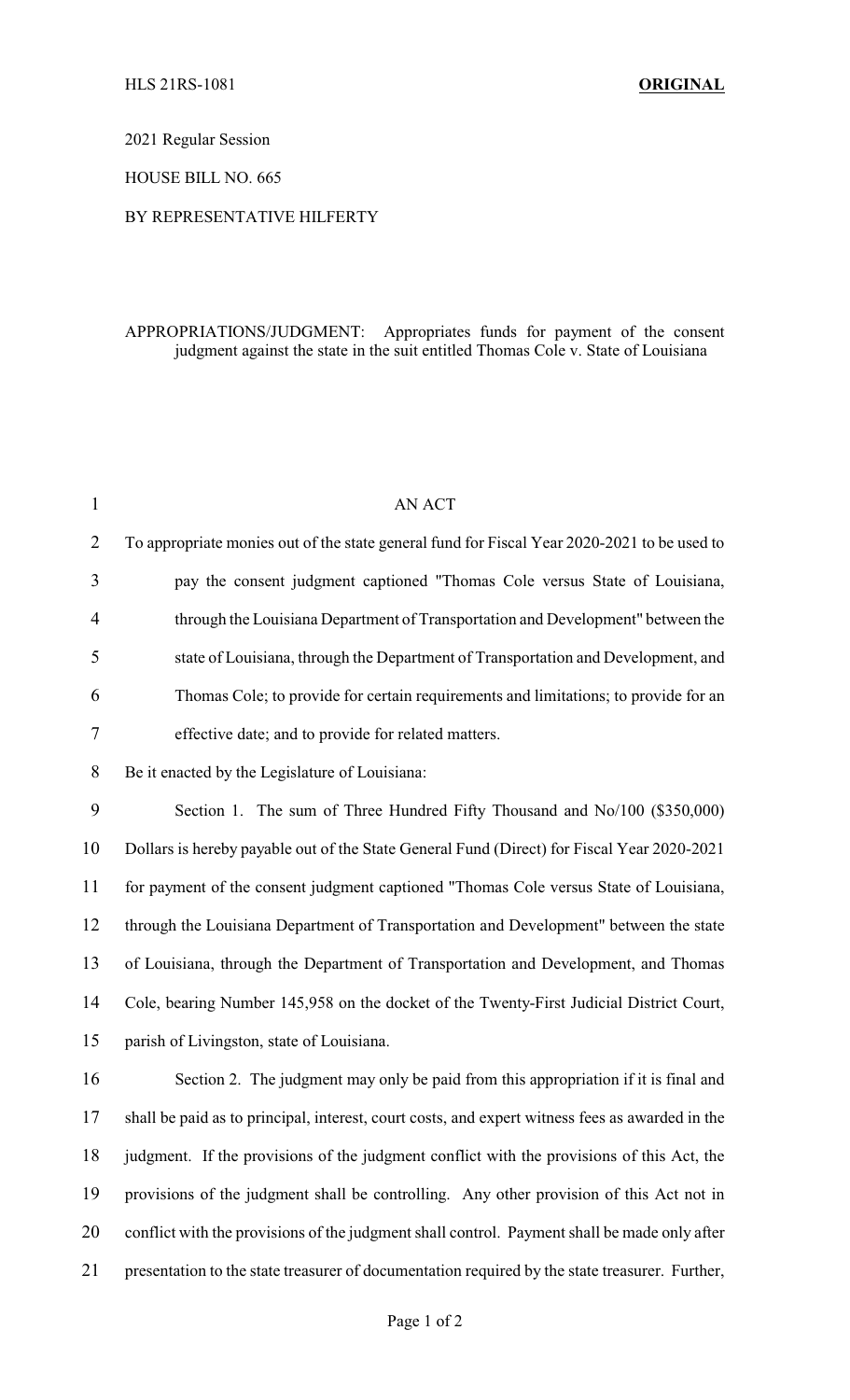2021 Regular Session

HOUSE BILL NO. 665

## BY REPRESENTATIVE HILFERTY

## APPROPRIATIONS/JUDGMENT: Appropriates funds for payment of the consent judgment against the state in the suit entitled Thomas Cole v. State of Louisiana

| 1              | <b>AN ACT</b>                                                                                   |
|----------------|-------------------------------------------------------------------------------------------------|
| $\overline{2}$ | To appropriate monies out of the state general fund for Fiscal Year 2020-2021 to be used to     |
| 3              | pay the consent judgment captioned "Thomas Cole versus State of Louisiana,                      |
| $\overline{4}$ | through the Louisiana Department of Transportation and Development" between the                 |
| 5              | state of Louisiana, through the Department of Transportation and Development, and               |
| 6              | Thomas Cole; to provide for certain requirements and limitations; to provide for an             |
| 7              | effective date; and to provide for related matters.                                             |
| 8              | Be it enacted by the Legislature of Louisiana:                                                  |
| 9              | Section 1. The sum of Three Hundred Fifty Thousand and No/100 (\$350,000)                       |
| 10             | Dollars is hereby payable out of the State General Fund (Direct) for Fiscal Year 2020-2021      |
| 11             | for payment of the consent judgment captioned "Thomas Cole versus State of Louisiana,           |
| 12             | through the Louisiana Department of Transportation and Development" between the state           |
| 13             | of Louisiana, through the Department of Transportation and Development, and Thomas              |
| 14             | Cole, bearing Number 145,958 on the docket of the Twenty-First Judicial District Court,         |
| 15             | parish of Livingston, state of Louisiana.                                                       |
| 16             | Section 2. The judgment may only be paid from this appropriation if it is final and             |
| 17             | shall be paid as to principal, interest, court costs, and expert witness fees as awarded in the |
| 18             | judgment. If the provisions of the judgment conflict with the provisions of this Act, the       |
| 19             | provisions of the judgment shall be controlling. Any other provision of this Act not in         |
| 20             | conflict with the provisions of the judgment shall control. Payment shall be made only after    |
| 21             | presentation to the state treasurer of documentation required by the state treasurer. Further,  |